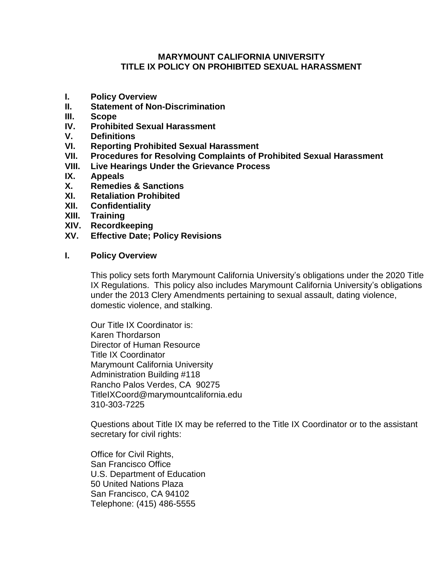#### **MARYMOUNT CALIFORNIA UNIVERSITY TITLE IX POLICY ON PROHIBITED SEXUAL HARASSMENT**

- **I. Policy Overview**
- **II. Statement of Non-Discrimination**
- **III. Scope**
- **IV. Prohibited Sexual Harassment**
- **V. Definitions**
- **VI. Reporting Prohibited Sexual Harassment**
- **VII. Procedures for Resolving Complaints of Prohibited Sexual Harassment**
- **VIII. Live Hearings Under the Grievance Process**
- **IX. Appeals**
- **X. Remedies & Sanctions**
- **XI. Retaliation Prohibited**
- **XII. Confidentiality**
- **XIII. Training**
- **XIV. Recordkeeping**
- **XV. Effective Date; Policy Revisions**

#### **I. Policy Overview**

This policy sets forth Marymount California University's obligations under the 2020 Title IX Regulations. This policy also includes Marymount California University's obligations under the 2013 Clery Amendments pertaining to sexual assault, dating violence, domestic violence, and stalking.

Our Title IX Coordinator is: Karen Thordarson Director of Human Resource Title IX Coordinator Marymount California University Administration Building #118 Rancho Palos Verdes, CA 90275 TitleIXCoord@marymountcalifornia.edu 310-303-7225

Questions about Title IX may be referred to the Title IX Coordinator or to the assistant secretary for civil rights:

Office for Civil Rights, San Francisco Office U.S. Department of Education 50 United Nations Plaza San Francisco, CA 94102 Telephone: (415) 486-5555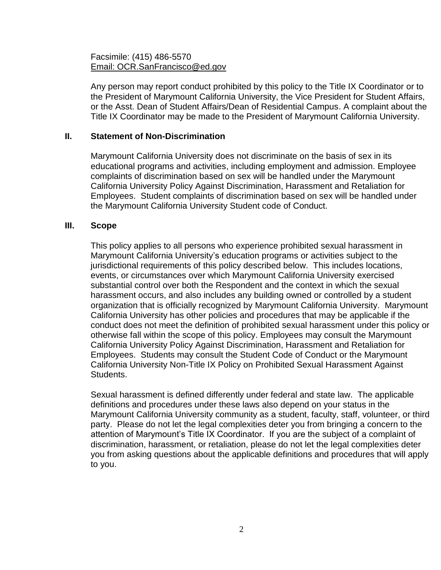#### Facsimile: (415) 486-5570 [Email: OCR.SanFrancisco@ed.gov](mailto:ocr.sanfrancisco@ed.gov)

Any person may report conduct prohibited by this policy to the Title IX Coordinator or to the President of Marymount California University, the Vice President for Student Affairs, or the Asst. Dean of Student Affairs/Dean of Residential Campus. A complaint about the Title IX Coordinator may be made to the President of Marymount California University.

## **II. Statement of Non-Discrimination**

Marymount California University does not discriminate on the basis of sex in its educational programs and activities, including employment and admission. Employee complaints of discrimination based on sex will be handled under the Marymount California University Policy Against Discrimination, Harassment and Retaliation for Employees. Student complaints of discrimination based on sex will be handled under the Marymount California University Student code of Conduct.

#### **III. Scope**

This policy applies to all persons who experience prohibited sexual harassment in Marymount California University's education programs or activities subject to the jurisdictional requirements of this policy described below. This includes locations, events, or circumstances over which Marymount California University exercised substantial control over both the Respondent and the context in which the sexual harassment occurs, and also includes any building owned or controlled by a student organization that is officially recognized by Marymount California University. Marymount California University has other policies and procedures that may be applicable if the conduct does not meet the definition of prohibited sexual harassment under this policy or otherwise fall within the scope of this policy. Employees may consult the Marymount California University Policy Against Discrimination, Harassment and Retaliation for Employees. Students may consult the Student Code of Conduct or the Marymount California University Non-Title IX Policy on Prohibited Sexual Harassment Against Students.

Sexual harassment is defined differently under federal and state law. The applicable definitions and procedures under these laws also depend on your status in the Marymount California University community as a student, faculty, staff, volunteer, or third party. Please do not let the legal complexities deter you from bringing a concern to the attention of Marymount's Title IX Coordinator. If you are the subject of a complaint of discrimination, harassment, or retaliation, please do not let the legal complexities deter you from asking questions about the applicable definitions and procedures that will apply to you.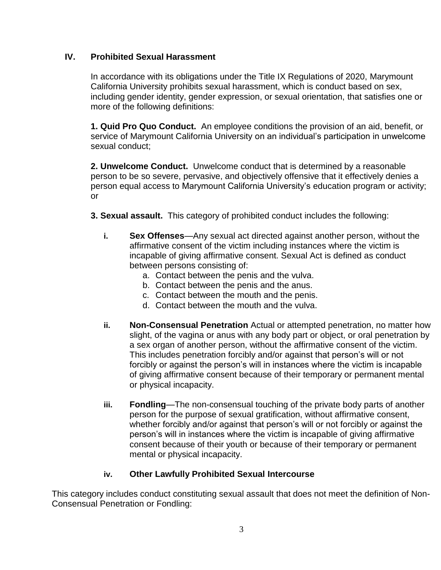# **IV. Prohibited Sexual Harassment**

In accordance with its obligations under the Title IX Regulations of 2020, Marymount California University prohibits sexual harassment, which is conduct based on sex, including gender identity, gender expression, or sexual orientation, that satisfies one or more of the following definitions:

**1. Quid Pro Quo Conduct.** An employee conditions the provision of an aid, benefit, or service of Marymount California University on an individual's participation in unwelcome sexual conduct;

**2. Unwelcome Conduct.** Unwelcome conduct that is determined by a reasonable person to be so severe, pervasive, and objectively offensive that it effectively denies a person equal access to Marymount California University's education program or activity; or

- **3. Sexual assault.** This category of prohibited conduct includes the following:
	- **i. Sex Offenses**—Any sexual act directed against another person, without the affirmative consent of the victim including instances where the victim is incapable of giving affirmative consent. Sexual Act is defined as conduct between persons consisting of:
		- a. Contact between the penis and the vulva.
		- b. Contact between the penis and the anus.
		- c. Contact between the mouth and the penis.
		- d. Contact between the mouth and the vulva.
	- **ii. Non-Consensual Penetration** Actual or attempted penetration, no matter how slight, of the vagina or anus with any body part or object, or oral penetration by a sex organ of another person, without the affirmative consent of the victim. This includes penetration forcibly and/or against that person's will or not forcibly or against the person's will in instances where the victim is incapable of giving affirmative consent because of their temporary or permanent mental or physical incapacity.
	- **iii. Fondling**—The non-consensual touching of the private body parts of another person for the purpose of sexual gratification, without affirmative consent, whether forcibly and/or against that person's will or not forcibly or against the person's will in instances where the victim is incapable of giving affirmative consent because of their youth or because of their temporary or permanent mental or physical incapacity.

# **iv. Other Lawfully Prohibited Sexual Intercourse**

This category includes conduct constituting sexual assault that does not meet the definition of Non-Consensual Penetration or Fondling: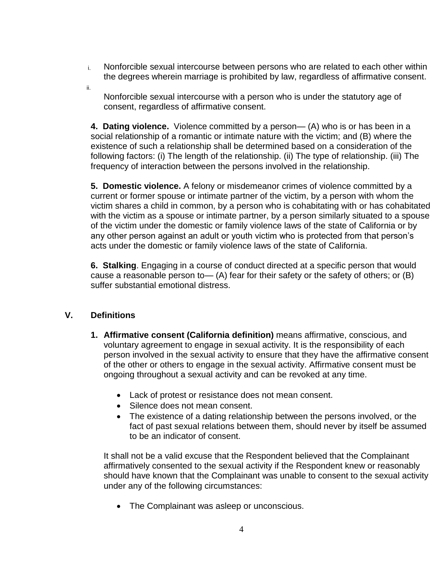- i. Nonforcible sexual intercourse between persons who are related to each other within the degrees wherein marriage is prohibited by law, regardless of affirmative consent.
- ii.

Nonforcible sexual intercourse with a person who is under the statutory age of consent, regardless of affirmative consent.

**4. Dating violence.** Violence committed by a person— (A) who is or has been in a social relationship of a romantic or intimate nature with the victim; and (B) where the existence of such a relationship shall be determined based on a consideration of the following factors: (i) The length of the relationship. (ii) The type of relationship. (iii) The frequency of interaction between the persons involved in the relationship.

**5. Domestic violence.** A felony or misdemeanor crimes of violence committed by a current or former spouse or intimate partner of the victim, by a person with whom the victim shares a child in common, by a person who is cohabitating with or has cohabitated with the victim as a spouse or intimate partner, by a person similarly situated to a spouse of the victim under the domestic or family violence laws of the state of California or by any other person against an adult or youth victim who is protected from that person's acts under the domestic or family violence laws of the state of California.

**6. Stalking**. Engaging in a course of conduct directed at a specific person that would cause a reasonable person to  $-$  (A) fear for their safety or the safety of others; or (B) suffer substantial emotional distress.

# **V. Definitions**

- **1. Affirmative consent (California definition)** means affirmative, conscious, and voluntary agreement to engage in sexual activity. It is the responsibility of each person involved in the sexual activity to ensure that they have the affirmative consent of the other or others to engage in the sexual activity. Affirmative consent must be ongoing throughout a sexual activity and can be revoked at any time.
	- Lack of protest or resistance does not mean consent.
	- Silence does not mean consent.
	- The existence of a dating relationship between the persons involved, or the fact of past sexual relations between them, should never by itself be assumed to be an indicator of consent.

It shall not be a valid excuse that the Respondent believed that the Complainant affirmatively consented to the sexual activity if the Respondent knew or reasonably should have known that the Complainant was unable to consent to the sexual activity under any of the following circumstances:

• The Complainant was asleep or unconscious.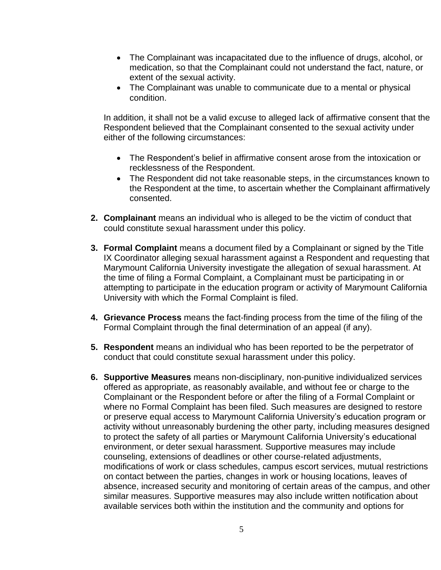- The Complainant was incapacitated due to the influence of drugs, alcohol, or medication, so that the Complainant could not understand the fact, nature, or extent of the sexual activity.
- The Complainant was unable to communicate due to a mental or physical condition.

In addition, it shall not be a valid excuse to alleged lack of affirmative consent that the Respondent believed that the Complainant consented to the sexual activity under either of the following circumstances:

- The Respondent's belief in affirmative consent arose from the intoxication or recklessness of the Respondent.
- The Respondent did not take reasonable steps, in the circumstances known to the Respondent at the time, to ascertain whether the Complainant affirmatively consented.
- **2. Complainant** means an individual who is alleged to be the victim of conduct that could constitute sexual harassment under this policy.
- **3. Formal Complaint** means a document filed by a Complainant or signed by the Title IX Coordinator alleging sexual harassment against a Respondent and requesting that Marymount California University investigate the allegation of sexual harassment. At the time of filing a Formal Complaint, a Complainant must be participating in or attempting to participate in the education program or activity of Marymount California University with which the Formal Complaint is filed.
- **4. Grievance Process** means the fact-finding process from the time of the filing of the Formal Complaint through the final determination of an appeal (if any).
- **5. Respondent** means an individual who has been reported to be the perpetrator of conduct that could constitute sexual harassment under this policy.
- **6. Supportive Measures** means non-disciplinary, non-punitive individualized services offered as appropriate, as reasonably available, and without fee or charge to the Complainant or the Respondent before or after the filing of a Formal Complaint or where no Formal Complaint has been filed. Such measures are designed to restore or preserve equal access to Marymount California University's education program or activity without unreasonably burdening the other party, including measures designed to protect the safety of all parties or Marymount California University's educational environment, or deter sexual harassment. Supportive measures may include counseling, extensions of deadlines or other course-related adjustments, modifications of work or class schedules, campus escort services, mutual restrictions on contact between the parties, changes in work or housing locations, leaves of absence, increased security and monitoring of certain areas of the campus, and other similar measures. Supportive measures may also include written notification about available services both within the institution and the community and options for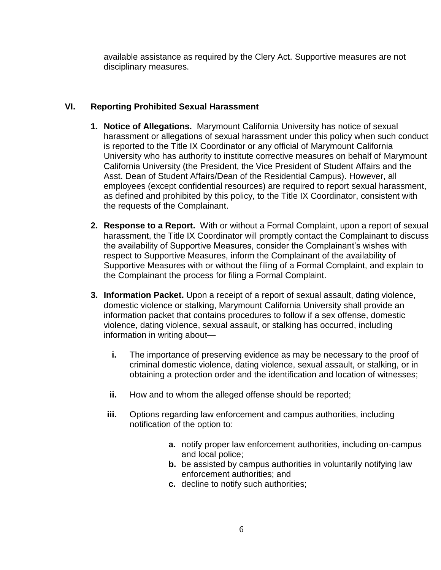available assistance as required by the Clery Act. Supportive measures are not disciplinary measures.

# **VI. Reporting Prohibited Sexual Harassment**

- **1. Notice of Allegations.** Marymount California University has notice of sexual harassment or allegations of sexual harassment under this policy when such conduct is reported to the Title IX Coordinator or any official of Marymount California University who has authority to institute corrective measures on behalf of Marymount California University (the President, the Vice President of Student Affairs and the Asst. Dean of Student Affairs/Dean of the Residential Campus). However, all employees (except confidential resources) are required to report sexual harassment, as defined and prohibited by this policy, to the Title IX Coordinator, consistent with the requests of the Complainant.
- **2. Response to a Report.** With or without a Formal Complaint, upon a report of sexual harassment, the Title IX Coordinator will promptly contact the Complainant to discuss the availability of Supportive Measures, consider the Complainant's wishes with respect to Supportive Measures, inform the Complainant of the availability of Supportive Measures with or without the filing of a Formal Complaint, and explain to the Complainant the process for filing a Formal Complaint.
- **3. Information Packet.** Upon a receipt of a report of sexual assault, dating violence, domestic violence or stalking, Marymount California University shall provide an information packet that contains procedures to follow if a sex offense, domestic violence, dating violence, sexual assault, or stalking has occurred, including information in writing about
	- **i.** The importance of preserving evidence as may be necessary to the proof of criminal domestic violence, dating violence, sexual assault, or stalking, or in obtaining a protection order and the identification and location of witnesses;
	- **ii.** How and to whom the alleged offense should be reported;
	- **iii.** Options regarding law enforcement and campus authorities, including notification of the option to:
		- **a.** notify proper law enforcement authorities, including on-campus and local police;
		- **b.** be assisted by campus authorities in voluntarily notifying law enforcement authorities; and
		- **c.** decline to notify such authorities;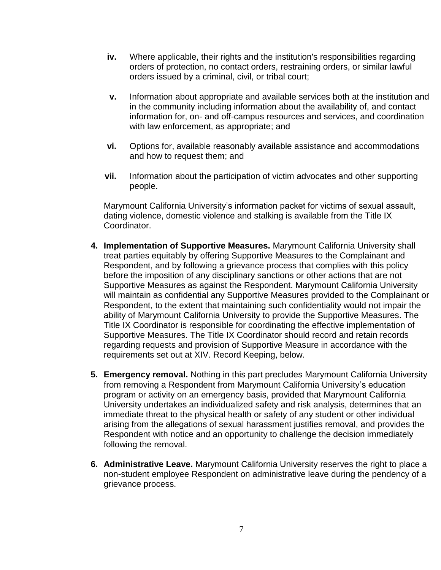- **iv.** Where applicable, their rights and the institution's responsibilities regarding orders of protection, no contact orders, restraining orders, or similar lawful orders issued by a criminal, civil, or tribal court;
- **v.** Information about appropriate and available services both at the institution and in the community including information about the availability of, and contact information for, on- and off-campus resources and services, and coordination with law enforcement, as appropriate; and
- **vi.** Options for, available reasonably available assistance and accommodations and how to request them; and
- **vii.** Information about the participation of victim advocates and other supporting people.

Marymount California University's information packet for victims of sexual assault, dating violence, domestic violence and stalking is available from the Title IX Coordinator.

- **4. Implementation of Supportive Measures.** Marymount California University shall treat parties equitably by offering Supportive Measures to the Complainant and Respondent, and by following a grievance process that complies with this policy before the imposition of any disciplinary sanctions or other actions that are not Supportive Measures as against the Respondent. Marymount California University will maintain as confidential any Supportive Measures provided to the Complainant or Respondent, to the extent that maintaining such confidentiality would not impair the ability of Marymount California University to provide the Supportive Measures. The Title IX Coordinator is responsible for coordinating the effective implementation of Supportive Measures. The Title IX Coordinator should record and retain records regarding requests and provision of Supportive Measure in accordance with the requirements set out at XIV. Record Keeping, below.
- **5. Emergency removal.** Nothing in this part precludes Marymount California University from removing a Respondent from Marymount California University's education program or activity on an emergency basis, provided that Marymount California University undertakes an individualized safety and risk analysis, determines that an immediate threat to the physical health or safety of any student or other individual arising from the allegations of sexual harassment justifies removal, and provides the Respondent with notice and an opportunity to challenge the decision immediately following the removal.
- **6. Administrative Leave.** Marymount California University reserves the right to place a non-student employee Respondent on administrative leave during the pendency of a grievance process.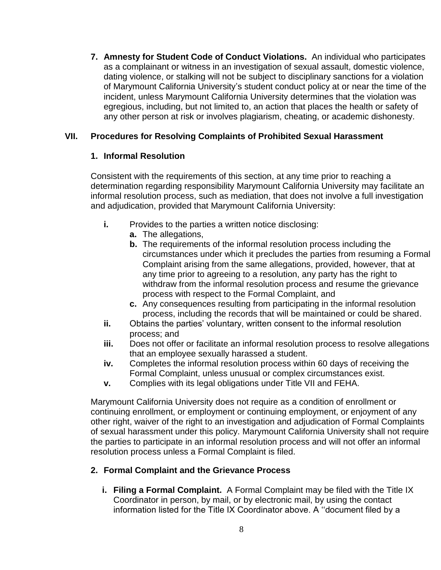**7. Amnesty for Student Code of Conduct Violations.** An individual who participates as a complainant or witness in an investigation of sexual assault, domestic violence, dating violence, or stalking will not be subject to disciplinary sanctions for a violation of Marymount California University's student conduct policy at or near the time of the incident, unless Marymount California University determines that the violation was egregious, including, but not limited to, an action that places the health or safety of any other person at risk or involves plagiarism, cheating, or academic dishonesty.

# **VII. Procedures for Resolving Complaints of Prohibited Sexual Harassment**

# **1. Informal Resolution**

Consistent with the requirements of this section, at any time prior to reaching a determination regarding responsibility Marymount California University may facilitate an informal resolution process, such as mediation, that does not involve a full investigation and adjudication, provided that Marymount California University:

- **i.** Provides to the parties a written notice disclosing:
	- **a.** The allegations,
	- **b.** The requirements of the informal resolution process including the circumstances under which it precludes the parties from resuming a Formal Complaint arising from the same allegations, provided, however, that at any time prior to agreeing to a resolution, any party has the right to withdraw from the informal resolution process and resume the grievance process with respect to the Formal Complaint, and
	- **c.** Any consequences resulting from participating in the informal resolution process, including the records that will be maintained or could be shared.
- **ii.** Obtains the parties' voluntary, written consent to the informal resolution process; and
- **iii.** Does not offer or facilitate an informal resolution process to resolve allegations that an employee sexually harassed a student.
- **iv.** Completes the informal resolution process within 60 days of receiving the Formal Complaint, unless unusual or complex circumstances exist.
- **v.** Complies with its legal obligations under Title VII and FEHA.

Marymount California University does not require as a condition of enrollment or continuing enrollment, or employment or continuing employment, or enjoyment of any other right, waiver of the right to an investigation and adjudication of Formal Complaints of sexual harassment under this policy. Marymount California University shall not require the parties to participate in an informal resolution process and will not offer an informal resolution process unless a Formal Complaint is filed.

# **2. Formal Complaint and the Grievance Process**

**i. Filing a Formal Complaint.** A Formal Complaint may be filed with the Title IX Coordinator in person, by mail, or by electronic mail, by using the contact information listed for the Title IX Coordinator above. A ''document filed by a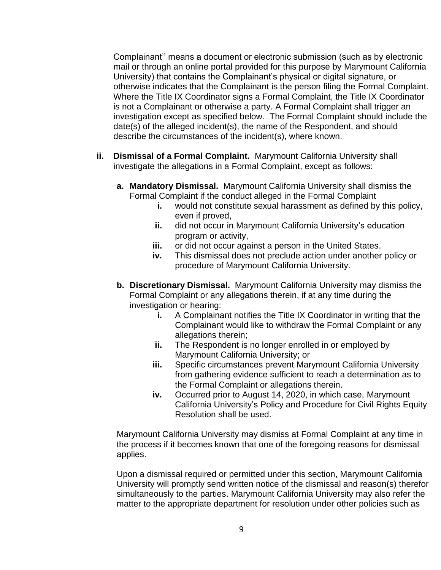Complainant'' means a document or electronic submission (such as by electronic mail or through an online portal provided for this purpose by Marymount California University) that contains the Complainant's physical or digital signature, or otherwise indicates that the Complainant is the person filing the Formal Complaint. Where the Title IX Coordinator signs a Formal Complaint, the Title IX Coordinator is not a Complainant or otherwise a party. A Formal Complaint shall trigger an investigation except as specified below. The Formal Complaint should include the date(s) of the alleged incident(s), the name of the Respondent, and should describe the circumstances of the incident(s), where known.

- **ii. Dismissal of a Formal Complaint.** Marymount California University shall investigate the allegations in a Formal Complaint, except as follows:
	- **a. Mandatory Dismissal.** Marymount California University shall dismiss the Formal Complaint if the conduct alleged in the Formal Complaint
		- **i.** would not constitute sexual harassment as defined by this policy, even if proved,
		- **ii.** did not occur in Marymount California University's education program or activity,
		- **iii.** or did not occur against a person in the United States.
		- **iv.** This dismissal does not preclude action under another policy or procedure of Marymount California University.
	- **b. Discretionary Dismissal.** Marymount California University may dismiss the Formal Complaint or any allegations therein, if at any time during the investigation or hearing:
		- **i.** A Complainant notifies the Title IX Coordinator in writing that the Complainant would like to withdraw the Formal Complaint or any allegations therein;
		- **ii.** The Respondent is no longer enrolled in or employed by Marymount California University; or
		- **iii.** Specific circumstances prevent Marymount California University from gathering evidence sufficient to reach a determination as to the Formal Complaint or allegations therein.
		- **iv.** Occurred prior to August 14, 2020, in which case, Marymount California University's Policy and Procedure for Civil Rights Equity Resolution shall be used.

Marymount California University may dismiss at Formal Complaint at any time in the process if it becomes known that one of the foregoing reasons for dismissal applies.

Upon a dismissal required or permitted under this section, Marymount California University will promptly send written notice of the dismissal and reason(s) therefor simultaneously to the parties. Marymount California University may also refer the matter to the appropriate department for resolution under other policies such as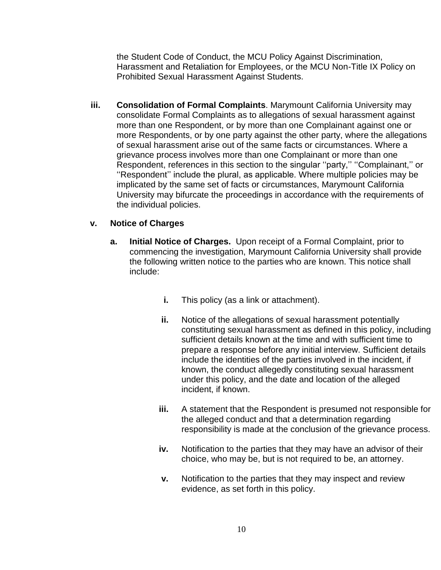the Student Code of Conduct, the MCU Policy Against Discrimination, Harassment and Retaliation for Employees, or the MCU Non-Title IX Policy on Prohibited Sexual Harassment Against Students.

**iii. Consolidation of Formal Complaints**. Marymount California University may consolidate Formal Complaints as to allegations of sexual harassment against more than one Respondent, or by more than one Complainant against one or more Respondents, or by one party against the other party, where the allegations of sexual harassment arise out of the same facts or circumstances. Where a grievance process involves more than one Complainant or more than one Respondent, references in this section to the singular ''party,'' ''Complainant,'' or ''Respondent'' include the plural, as applicable. Where multiple policies may be implicated by the same set of facts or circumstances, Marymount California University may bifurcate the proceedings in accordance with the requirements of the individual policies.

## **v. Notice of Charges**

- **a. Initial Notice of Charges.** Upon receipt of a Formal Complaint, prior to commencing the investigation, Marymount California University shall provide the following written notice to the parties who are known. This notice shall include:
	- **i.** This policy (as a link or attachment).
	- **ii.** Notice of the allegations of sexual harassment potentially constituting sexual harassment as defined in this policy, including sufficient details known at the time and with sufficient time to prepare a response before any initial interview. Sufficient details include the identities of the parties involved in the incident, if known, the conduct allegedly constituting sexual harassment under this policy, and the date and location of the alleged incident, if known.
	- **iii.** A statement that the Respondent is presumed not responsible for the alleged conduct and that a determination regarding responsibility is made at the conclusion of the grievance process.
	- **iv.** Notification to the parties that they may have an advisor of their choice, who may be, but is not required to be, an attorney.
	- **v.** Notification to the parties that they may inspect and review evidence, as set forth in this policy.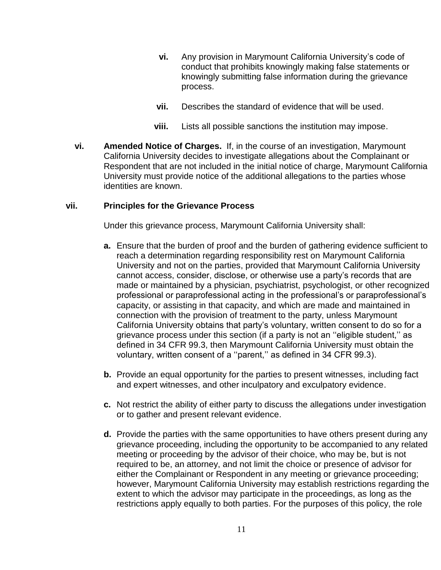- **vi.** Any provision in Marymount California University's code of conduct that prohibits knowingly making false statements or knowingly submitting false information during the grievance process.
- **vii.** Describes the standard of evidence that will be used.
- **viii.** Lists all possible sanctions the institution may impose.
- **vi. Amended Notice of Charges.** If, in the course of an investigation, Marymount California University decides to investigate allegations about the Complainant or Respondent that are not included in the initial notice of charge, Marymount California University must provide notice of the additional allegations to the parties whose identities are known.

#### **vii. Principles for the Grievance Process**

Under this grievance process, Marymount California University shall:

- **a.** Ensure that the burden of proof and the burden of gathering evidence sufficient to reach a determination regarding responsibility rest on Marymount California University and not on the parties, provided that Marymount California University cannot access, consider, disclose, or otherwise use a party's records that are made or maintained by a physician, psychiatrist, psychologist, or other recognized professional or paraprofessional acting in the professional's or paraprofessional's capacity, or assisting in that capacity, and which are made and maintained in connection with the provision of treatment to the party, unless Marymount California University obtains that party's voluntary, written consent to do so for a grievance process under this section (if a party is not an ''eligible student,'' as defined in 34 CFR 99.3, then Marymount California University must obtain the voluntary, written consent of a ''parent,'' as defined in 34 CFR 99.3).
- **b.** Provide an equal opportunity for the parties to present witnesses, including fact and expert witnesses, and other inculpatory and exculpatory evidence.
- **c.** Not restrict the ability of either party to discuss the allegations under investigation or to gather and present relevant evidence.
- **d.** Provide the parties with the same opportunities to have others present during any grievance proceeding, including the opportunity to be accompanied to any related meeting or proceeding by the advisor of their choice, who may be, but is not required to be, an attorney, and not limit the choice or presence of advisor for either the Complainant or Respondent in any meeting or grievance proceeding; however, Marymount California University may establish restrictions regarding the extent to which the advisor may participate in the proceedings, as long as the restrictions apply equally to both parties. For the purposes of this policy, the role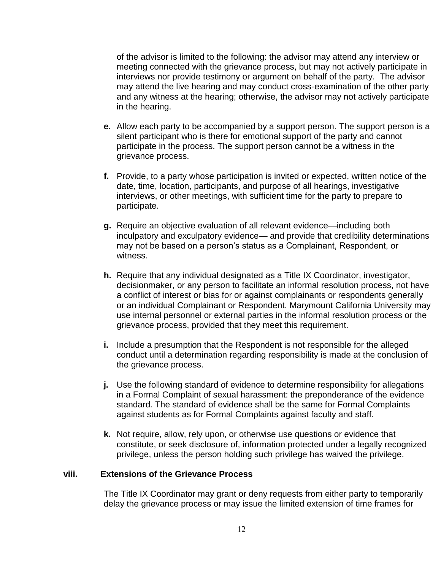of the advisor is limited to the following: the advisor may attend any interview or meeting connected with the grievance process, but may not actively participate in interviews nor provide testimony or argument on behalf of the party. The advisor may attend the live hearing and may conduct cross-examination of the other party and any witness at the hearing; otherwise, the advisor may not actively participate in the hearing.

- **e.** Allow each party to be accompanied by a support person. The support person is a silent participant who is there for emotional support of the party and cannot participate in the process. The support person cannot be a witness in the grievance process.
- **f.** Provide, to a party whose participation is invited or expected, written notice of the date, time, location, participants, and purpose of all hearings, investigative interviews, or other meetings, with sufficient time for the party to prepare to participate.
- **g.** Require an objective evaluation of all relevant evidence—including both inculpatory and exculpatory evidence— and provide that credibility determinations may not be based on a person's status as a Complainant, Respondent, or witness.
- **h.** Require that any individual designated as a Title IX Coordinator, investigator, decisionmaker, or any person to facilitate an informal resolution process, not have a conflict of interest or bias for or against complainants or respondents generally or an individual Complainant or Respondent. Marymount California University may use internal personnel or external parties in the informal resolution process or the grievance process, provided that they meet this requirement.
- **i.** Include a presumption that the Respondent is not responsible for the alleged conduct until a determination regarding responsibility is made at the conclusion of the grievance process.
- **j.** Use the following standard of evidence to determine responsibility for allegations in a Formal Complaint of sexual harassment: the preponderance of the evidence standard*.* The standard of evidence shall be the same for Formal Complaints against students as for Formal Complaints against faculty and staff.
- **k.** Not require, allow, rely upon, or otherwise use questions or evidence that constitute, or seek disclosure of, information protected under a legally recognized privilege, unless the person holding such privilege has waived the privilege.

#### **viii. Extensions of the Grievance Process**

The Title IX Coordinator may grant or deny requests from either party to temporarily delay the grievance process or may issue the limited extension of time frames for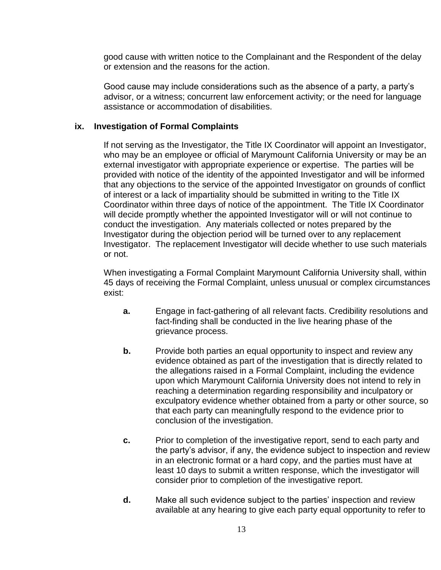good cause with written notice to the Complainant and the Respondent of the delay or extension and the reasons for the action.

Good cause may include considerations such as the absence of a party, a party's advisor, or a witness; concurrent law enforcement activity; or the need for language assistance or accommodation of disabilities.

## **ix. Investigation of Formal Complaints**

If not serving as the Investigator, the Title IX Coordinator will appoint an Investigator, who may be an employee or official of Marymount California University or may be an external investigator with appropriate experience or expertise. The parties will be provided with notice of the identity of the appointed Investigator and will be informed that any objections to the service of the appointed Investigator on grounds of conflict of interest or a lack of impartiality should be submitted in writing to the Title IX Coordinator within three days of notice of the appointment. The Title IX Coordinator will decide promptly whether the appointed Investigator will or will not continue to conduct the investigation. Any materials collected or notes prepared by the Investigator during the objection period will be turned over to any replacement Investigator. The replacement Investigator will decide whether to use such materials or not.

When investigating a Formal Complaint Marymount California University shall, within 45 days of receiving the Formal Complaint, unless unusual or complex circumstances exist:

- **a.** Engage in fact-gathering of all relevant facts. Credibility resolutions and fact-finding shall be conducted in the live hearing phase of the grievance process.
- **b.** Provide both parties an equal opportunity to inspect and review any evidence obtained as part of the investigation that is directly related to the allegations raised in a Formal Complaint, including the evidence upon which Marymount California University does not intend to rely in reaching a determination regarding responsibility and inculpatory or exculpatory evidence whether obtained from a party or other source, so that each party can meaningfully respond to the evidence prior to conclusion of the investigation.
- **c.** Prior to completion of the investigative report, send to each party and the party's advisor, if any, the evidence subject to inspection and review in an electronic format or a hard copy, and the parties must have at least 10 days to submit a written response, which the investigator will consider prior to completion of the investigative report.
- **d.** Make all such evidence subject to the parties' inspection and review available at any hearing to give each party equal opportunity to refer to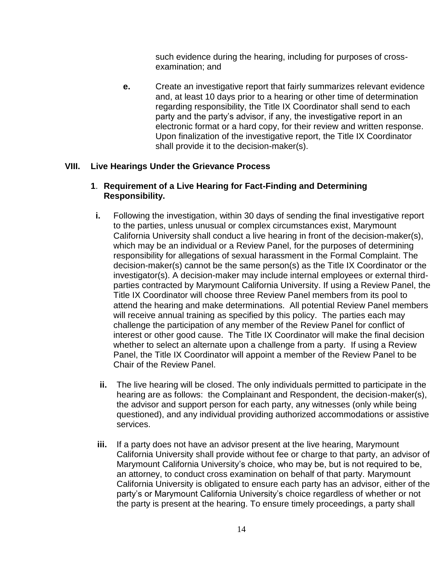such evidence during the hearing, including for purposes of crossexamination; and

**e.** Create an investigative report that fairly summarizes relevant evidence and, at least 10 days prior to a hearing or other time of determination regarding responsibility, the Title IX Coordinator shall send to each party and the party's advisor, if any, the investigative report in an electronic format or a hard copy, for their review and written response. Upon finalization of the investigative report, the Title IX Coordinator shall provide it to the decision-maker(s).

## **VIII. Live Hearings Under the Grievance Process**

## **1**. **Requirement of a Live Hearing for Fact-Finding and Determining Responsibility.**

- **i.** Following the investigation, within 30 days of sending the final investigative report to the parties, unless unusual or complex circumstances exist, Marymount California University shall conduct a live hearing in front of the decision-maker(s), which may be an individual or a Review Panel, for the purposes of determining responsibility for allegations of sexual harassment in the Formal Complaint. The decision-maker(s) cannot be the same person(s) as the Title IX Coordinator or the investigator(s). A decision-maker may include internal employees or external thirdparties contracted by Marymount California University. If using a Review Panel, the Title IX Coordinator will choose three Review Panel members from its pool to attend the hearing and make determinations. All potential Review Panel members will receive annual training as specified by this policy. The parties each may challenge the participation of any member of the Review Panel for conflict of interest or other good cause. The Title IX Coordinator will make the final decision whether to select an alternate upon a challenge from a party. If using a Review Panel, the Title IX Coordinator will appoint a member of the Review Panel to be Chair of the Review Panel.
- **ii.** The live hearing will be closed. The only individuals permitted to participate in the hearing are as follows: the Complainant and Respondent, the decision-maker(s), the advisor and support person for each party, any witnesses (only while being questioned), and any individual providing authorized accommodations or assistive services.
- **iii.** If a party does not have an advisor present at the live hearing, Marymount California University shall provide without fee or charge to that party, an advisor of Marymount California University's choice, who may be, but is not required to be, an attorney, to conduct cross examination on behalf of that party. Marymount California University is obligated to ensure each party has an advisor, either of the party's or Marymount California University's choice regardless of whether or not the party is present at the hearing. To ensure timely proceedings, a party shall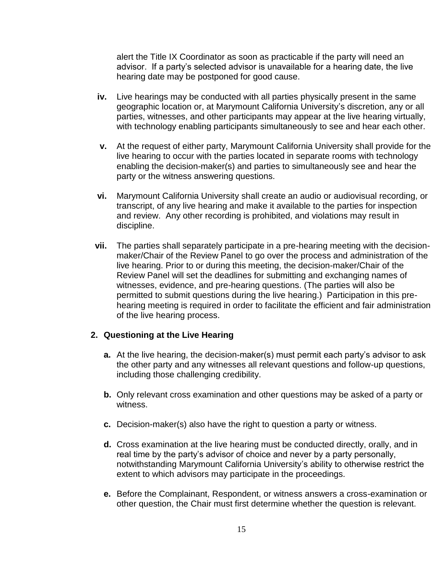alert the Title IX Coordinator as soon as practicable if the party will need an advisor. If a party's selected advisor is unavailable for a hearing date, the live hearing date may be postponed for good cause.

- **iv.** Live hearings may be conducted with all parties physically present in the same geographic location or, at Marymount California University's discretion, any or all parties, witnesses, and other participants may appear at the live hearing virtually, with technology enabling participants simultaneously to see and hear each other.
- **v.** At the request of either party, Marymount California University shall provide for the live hearing to occur with the parties located in separate rooms with technology enabling the decision-maker(s) and parties to simultaneously see and hear the party or the witness answering questions.
- **vi.** Marymount California University shall create an audio or audiovisual recording, or transcript, of any live hearing and make it available to the parties for inspection and review. Any other recording is prohibited, and violations may result in discipline.
- **vii.** The parties shall separately participate in a pre-hearing meeting with the decisionmaker/Chair of the Review Panel to go over the process and administration of the live hearing. Prior to or during this meeting, the decision-maker/Chair of the Review Panel will set the deadlines for submitting and exchanging names of witnesses, evidence, and pre-hearing questions. (The parties will also be permitted to submit questions during the live hearing.) Participation in this prehearing meeting is required in order to facilitate the efficient and fair administration of the live hearing process.

#### **2. Questioning at the Live Hearing**

- **a.** At the live hearing, the decision-maker(s) must permit each party's advisor to ask the other party and any witnesses all relevant questions and follow-up questions, including those challenging credibility.
- **b.** Only relevant cross examination and other questions may be asked of a party or witness.
- **c.** Decision-maker(s) also have the right to question a party or witness.
- **d.** Cross examination at the live hearing must be conducted directly, orally, and in real time by the party's advisor of choice and never by a party personally, notwithstanding Marymount California University's ability to otherwise restrict the extent to which advisors may participate in the proceedings.
- **e.** Before the Complainant, Respondent, or witness answers a cross-examination or other question, the Chair must first determine whether the question is relevant.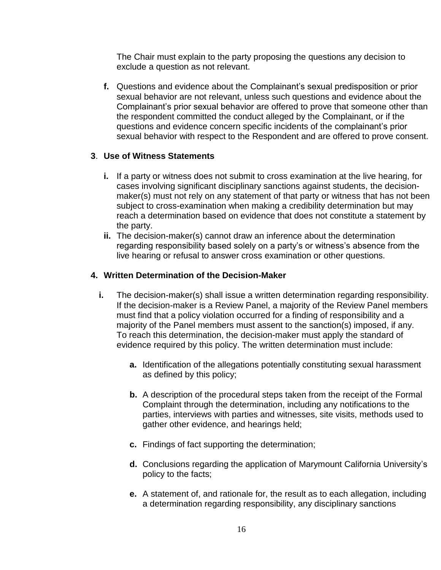The Chair must explain to the party proposing the questions any decision to exclude a question as not relevant.

**f.** Questions and evidence about the Complainant's sexual predisposition or prior sexual behavior are not relevant, unless such questions and evidence about the Complainant's prior sexual behavior are offered to prove that someone other than the respondent committed the conduct alleged by the Complainant, or if the questions and evidence concern specific incidents of the complainant's prior sexual behavior with respect to the Respondent and are offered to prove consent.

## **3**. **Use of Witness Statements**

- **i.** If a party or witness does not submit to cross examination at the live hearing, for cases involving significant disciplinary sanctions against students, the decisionmaker(s) must not rely on any statement of that party or witness that has not been subject to cross-examination when making a credibility determination but may reach a determination based on evidence that does not constitute a statement by the party.
- **ii.** The decision-maker(s) cannot draw an inference about the determination regarding responsibility based solely on a party's or witness's absence from the live hearing or refusal to answer cross examination or other questions.

## **4. Written Determination of the Decision-Maker**

- **i.** The decision-maker(s) shall issue a written determination regarding responsibility. If the decision-maker is a Review Panel, a majority of the Review Panel members must find that a policy violation occurred for a finding of responsibility and a majority of the Panel members must assent to the sanction(s) imposed, if any. To reach this determination, the decision-maker must apply the standard of evidence required by this policy. The written determination must include:
	- **a.** Identification of the allegations potentially constituting sexual harassment as defined by this policy;
	- **b.** A description of the procedural steps taken from the receipt of the Formal Complaint through the determination, including any notifications to the parties, interviews with parties and witnesses, site visits, methods used to gather other evidence, and hearings held;
	- **c.** Findings of fact supporting the determination;
	- **d.** Conclusions regarding the application of Marymount California University's policy to the facts;
	- **e.** A statement of, and rationale for, the result as to each allegation, including a determination regarding responsibility, any disciplinary sanctions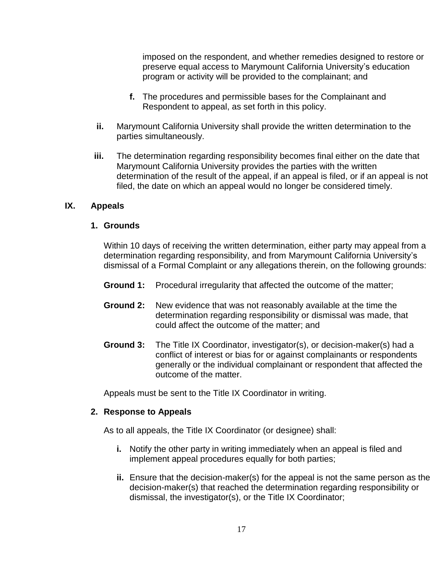imposed on the respondent, and whether remedies designed to restore or preserve equal access to Marymount California University's education program or activity will be provided to the complainant; and

- **f.** The procedures and permissible bases for the Complainant and Respondent to appeal, as set forth in this policy.
- **ii.** Marymount California University shall provide the written determination to the parties simultaneously.
- **iii.** The determination regarding responsibility becomes final either on the date that Marymount California University provides the parties with the written determination of the result of the appeal, if an appeal is filed, or if an appeal is not filed, the date on which an appeal would no longer be considered timely.

## **IX. Appeals**

## **1. Grounds**

Within 10 days of receiving the written determination, either party may appeal from a determination regarding responsibility, and from Marymount California University's dismissal of a Formal Complaint or any allegations therein, on the following grounds:

- **Ground 1:** Procedural irregularity that affected the outcome of the matter;
- **Ground 2:** New evidence that was not reasonably available at the time the determination regarding responsibility or dismissal was made, that could affect the outcome of the matter; and
- **Ground 3:** The Title IX Coordinator, investigator(s), or decision-maker(s) had a conflict of interest or bias for or against complainants or respondents generally or the individual complainant or respondent that affected the outcome of the matter.

Appeals must be sent to the Title IX Coordinator in writing.

#### **2. Response to Appeals**

As to all appeals, the Title IX Coordinator (or designee) shall:

- **i.** Notify the other party in writing immediately when an appeal is filed and implement appeal procedures equally for both parties;
- **ii.** Ensure that the decision-maker(s) for the appeal is not the same person as the decision-maker(s) that reached the determination regarding responsibility or dismissal, the investigator(s), or the Title IX Coordinator;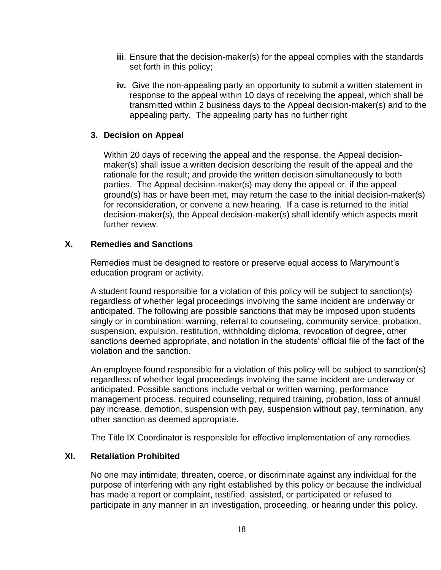- **iii**. Ensure that the decision-maker(s) for the appeal complies with the standards set forth in this policy;
- **iv.** Give the non-appealing party an opportunity to submit a written statement in response to the appeal within 10 days of receiving the appeal, which shall be transmitted within 2 business days to the Appeal decision-maker(s) and to the appealing party. The appealing party has no further right

#### **3. Decision on Appeal**

Within 20 days of receiving the appeal and the response, the Appeal decisionmaker(s) shall issue a written decision describing the result of the appeal and the rationale for the result; and provide the written decision simultaneously to both parties. The Appeal decision-maker(s) may deny the appeal or, if the appeal ground(s) has or have been met, may return the case to the initial decision-maker(s) for reconsideration, or convene a new hearing. If a case is returned to the initial decision-maker(s), the Appeal decision-maker(s) shall identify which aspects merit further review.

#### **X. Remedies and Sanctions**

Remedies must be designed to restore or preserve equal access to Marymount's education program or activity.

A student found responsible for a violation of this policy will be subject to sanction(s) regardless of whether legal proceedings involving the same incident are underway or anticipated. The following are possible sanctions that may be imposed upon students singly or in combination: warning, referral to counseling, community service, probation, suspension, expulsion, restitution, withholding diploma, revocation of degree, other sanctions deemed appropriate, and notation in the students' official file of the fact of the violation and the sanction.

An employee found responsible for a violation of this policy will be subject to sanction(s) regardless of whether legal proceedings involving the same incident are underway or anticipated. Possible sanctions include verbal or written warning, performance management process, required counseling, required training, probation, loss of annual pay increase, demotion, suspension with pay, suspension without pay, termination, any other sanction as deemed appropriate.

The Title IX Coordinator is responsible for effective implementation of any remedies.

## **XI. Retaliation Prohibited**

No one may intimidate, threaten, coerce, or discriminate against any individual for the purpose of interfering with any right established by this policy or because the individual has made a report or complaint, testified, assisted, or participated or refused to participate in any manner in an investigation, proceeding, or hearing under this policy.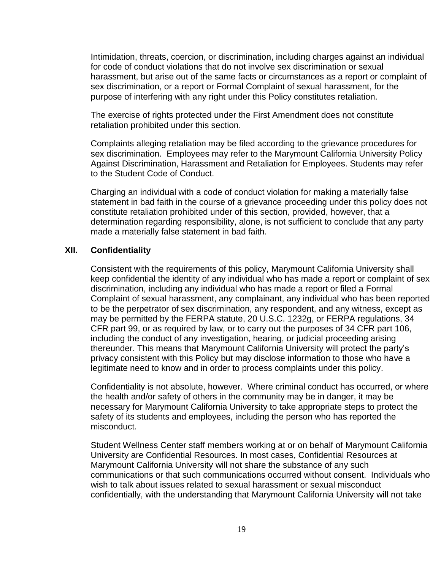Intimidation, threats, coercion, or discrimination, including charges against an individual for code of conduct violations that do not involve sex discrimination or sexual harassment, but arise out of the same facts or circumstances as a report or complaint of sex discrimination, or a report or Formal Complaint of sexual harassment, for the purpose of interfering with any right under this Policy constitutes retaliation.

The exercise of rights protected under the First Amendment does not constitute retaliation prohibited under this section.

Complaints alleging retaliation may be filed according to the grievance procedures for sex discrimination. Employees may refer to the Marymount California University Policy Against Discrimination, Harassment and Retaliation for Employees. Students may refer to the Student Code of Conduct.

Charging an individual with a code of conduct violation for making a materially false statement in bad faith in the course of a grievance proceeding under this policy does not constitute retaliation prohibited under of this section, provided, however, that a determination regarding responsibility, alone, is not sufficient to conclude that any party made a materially false statement in bad faith.

#### **XII. Confidentiality**

Consistent with the requirements of this policy, Marymount California University shall keep confidential the identity of any individual who has made a report or complaint of sex discrimination, including any individual who has made a report or filed a Formal Complaint of sexual harassment, any complainant, any individual who has been reported to be the perpetrator of sex discrimination, any respondent, and any witness, except as may be permitted by the FERPA statute, 20 U.S.C. 1232g, or FERPA regulations, 34 CFR part 99, or as required by law, or to carry out the purposes of 34 CFR part 106, including the conduct of any investigation, hearing, or judicial proceeding arising thereunder. This means that Marymount California University will protect the party's privacy consistent with this Policy but may disclose information to those who have a legitimate need to know and in order to process complaints under this policy.

Confidentiality is not absolute, however. Where criminal conduct has occurred, or where the health and/or safety of others in the community may be in danger, it may be necessary for Marymount California University to take appropriate steps to protect the safety of its students and employees, including the person who has reported the misconduct.

Student Wellness Center staff members working at or on behalf of Marymount California University are Confidential Resources. In most cases, Confidential Resources at Marymount California University will not share the substance of any such communications or that such communications occurred without consent. Individuals who wish to talk about issues related to sexual harassment or sexual misconduct confidentially, with the understanding that Marymount California University will not take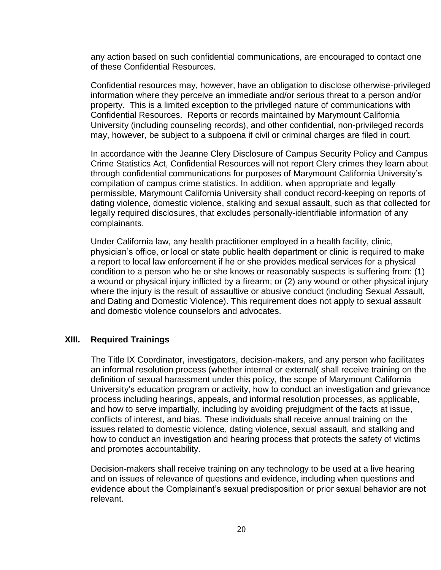any action based on such confidential communications, are encouraged to contact one of these Confidential Resources.

Confidential resources may, however, have an obligation to disclose otherwise-privileged information where they perceive an immediate and/or serious threat to a person and/or property. This is a limited exception to the privileged nature of communications with Confidential Resources. Reports or records maintained by Marymount California University (including counseling records), and other confidential, non-privileged records may, however, be subject to a subpoena if civil or criminal charges are filed in court.

In accordance with the Jeanne Clery Disclosure of Campus Security Policy and Campus Crime Statistics Act, Confidential Resources will not report Clery crimes they learn about through confidential communications for purposes of Marymount California University's compilation of campus crime statistics. In addition, when appropriate and legally permissible, Marymount California University shall conduct record-keeping on reports of dating violence, domestic violence, stalking and sexual assault, such as that collected for legally required disclosures, that excludes personally-identifiable information of any complainants.

Under California law, any health practitioner employed in a health facility, clinic, physician's office, or local or state public health department or clinic is required to make a report to local law enforcement if he or she provides medical services for a physical condition to a person who he or she knows or reasonably suspects is suffering from: (1) a wound or physical injury inflicted by a firearm; or (2) any wound or other physical injury where the injury is the result of assaultive or abusive conduct (including Sexual Assault, and Dating and Domestic Violence). This requirement does not apply to sexual assault and domestic violence counselors and advocates.

#### **XIII. Required Trainings**

The Title IX Coordinator, investigators, decision-makers, and any person who facilitates an informal resolution process (whether internal or external( shall receive training on the definition of sexual harassment under this policy, the scope of Marymount California University's education program or activity, how to conduct an investigation and grievance process including hearings, appeals, and informal resolution processes, as applicable, and how to serve impartially, including by avoiding prejudgment of the facts at issue, conflicts of interest, and bias. These individuals shall receive annual training on the issues related to domestic violence, dating violence, sexual assault, and stalking and how to conduct an investigation and hearing process that protects the safety of victims and promotes accountability.

Decision-makers shall receive training on any technology to be used at a live hearing and on issues of relevance of questions and evidence, including when questions and evidence about the Complainant's sexual predisposition or prior sexual behavior are not relevant.